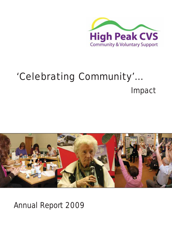

# 'Celebrating Community'… *Impact*



Annual Report 2009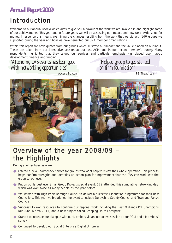# Introduction

Welcome to our annual review which aims to give you a flavour of the work we are involved in and highlight some of our achievements. This year and in future years we will be assessing our impact and how we provide value for money. In essence this means examining the changes resulting from the work that we did with 140 groups we supported during the year and how we have benefited our 324 member organisations.

Within this report we have quotes from our groups which illustrate our impact and the value placed on our input. These are taken from our interactive session at our last AGM and in our recent member's survey. Many respondents highlighted that they valued our services and particular emphasis was placed upon group development, finance and funding.

*"Attending CVS events has been good with networking opportunities"*

*"Helped group to get started on firm foundation"*

*PB Theatricals*

*Access Buxton*



### Overview of the year 2008/09 – the Highlights

During another busy year we:

- ◆ Offered a new Healthcheck service for groups who want help to review their whole operation. This process helps confirm strengths and identifies an action plan for improvement that the CVS can work with the group to achieve.
- ◆ Put on our largest ever Small Group Project special event. 172 attended this stimulating networking day, which was over twice as many people as the year before.
- ◆ We worked with High Peak Borough Council to deliver a successful induction programme for their new Councillors. This year we broadened the event to include Derbyshire County Council and Town and Parish Councils.
- ◆ Successfully won resources to continue our regional work including the East Midlands ICT Champions role (until March 2011) and a new project called Stepping Up to Enterprise.
- ◆ Started to increase our dialogue with our Members via an interactive session at our AGM and a Members' survey.
- ◆ Continued to develop our Social Enterprise Digital Umbrella.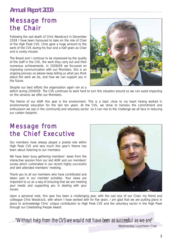### Message from the Chair

Following the sad death of Chris Woodcock in December 2008 I have been honoured to take on the role of Chair of the High Peak CVS. Chris gave a huge amount to the work of the CVS during his four and a half years as Chair and is sorely missed.

The Board and I continue to be impressed by the quality of the staff in the CVS, the work they carry out and their numerous achievements. In 2008/09 we focussed on improving communication with our Members, this is an ongoing process so please keep telling us what you think about the work we do, and how we can support you in the future.

Despite our best efforts the organisation again ran at a



deficit during 2008/09. The CVS continues to work hard to turn this situation around so we can avoid impacting on the services we offer our Members.

The theme of our AGM this year is the environment. This is a topic close to my heart having worked in environmental education for the last ten years. At the CVS, we strive to harness the commitment and enthusiasm we see in the community and voluntary sector so it can rise to the challenge we all face in reducing our carbon footprint.

### Message from the Chief Executive

Our members have always played a pivotal role within High Peak CVS and very much this year's theme has been about listening to our members.

We have been busy gathering members' views from the interactive session from our last AGM and our members' survey which culminated in our recent highly successful and well attended members' meeting.

Thank you to all our members who have contributed and taken part in our member activities. Your views are important to us as a way of ensuring that we are meeting your needs and supporting you in dealing with your issues.



Upon a personal note, this year has been a challenging year, with the sad loss of our Chair, my friend and colleague Chris Woodcock, with whom I have worked with for five years. I am glad that we are putting plans in place to acknowledge Chris' unique contribution to High Peak CVS and the voluntary sector in the High Peak through our Celebrating People Award.

*"Without help from the CVS we would not have been as successful as we are"*

*Wednesday Luncheon Club*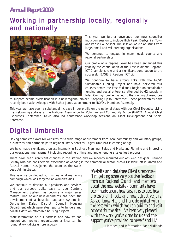# Working in partnership locally, regionally and nationally



This year we further developed our new councillor induction session to include High Peak, Derbyshire, Town and Parish Councillors. The session looked at issues from large, small and volunteering organisations.

We continue to engage in many local, county and regional partnerships.

Our profile at a regional level has been enhanced this year by the continuation of the East Midlands Regional ICT Champions role and a significant contribution to the successful BASIS 2 Regional ICT bid.

We continue to have strong links with the NCVO Sustainable Funding Project and have delivered four courses across the East Midlands Region on sustainable funding and social enterprise attended by 62 people in total. Our high profile has led to the winning of resources

to support income diversification in a new regional project, 'Stepping Up to Enterprise'. These partnerships have recently been acknowledged with Esther Jones appointment to NCVO's Members Assembly.

This year we have seen a substantial increase in our profile on the national stage with our Chief Executive giving the welcoming address at the National Association for Voluntary and Community Action (NAVCA) Annual Chief Executives Conference. Kevin also led conference workshop sessions on Asset Development and Social Enterprise.

# Digital Umbrella

Having completed over 60 websites for a wide range of customers from local community and voluntary groups, businesses and partnerships to regional library services, Digital Umbrella is coming of age.

We have made significant progress internally in Business Planning, Sales and Marketing Planning and improving our operational management including recording of time and implementing a sales lead process.

There have been significant changes in the staffing and we recently recruited our 4th web designer Suzanne Leusby who has considerable experience of working in the commercial sector. Nicola Dinsdale left in March and Rachel Harman has joined the team as the Sales Lead Administrator.

This year we conducted our first national marketing campaign which was targeted at Women's Aids.

We continue to develop our products and services and our purpose built, easy to use Content Management System has become a major sales feature. One of our new departures has been the development of a bespoke database system for Derbyshire Dales District Council Housing Department which generates reports to funders and collates data on affordable housing projects.

More information on our portfolio and how we can support your project, organisation or idea can be found at www.digitalumbrella.co.uk

*"Website and database Client's response - "I'm getting some very positive feedback from our Regional Council and members about the new website - comments have been made about how easy it is to use, how professional it looks and how attractive it is. As you know H.... and I are delighted with the ease with which we can add to and edit content for the site. I've been very pleased with the work you've done for us and the support you've provided to myself and H." Libraries and Information East Midlands*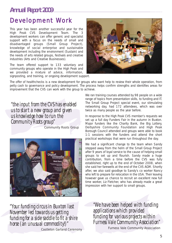#### Development Work

This year has been another successful year for the High Peak CVS Development Team. The 3 development workers can offer generic and specialist support with a focus on the needs of small and disadvantaged groups (Small Group Project), knowledge of social enterprise and sustainable development including the environment (Sustain) and the needs of arts related groups, festivals and creative industries (Arts and Creative Businesses).

The team offered support to 133 voluntary and community groups who operate in the High Peak and we provided a mixture of advice, information, signposting, and training, or ongoing development support.



The offer of healthchecks is a new development for groups who want help to review their whole operation, from petty cash to governance and policy development. The process helps confirm strengths and identifies areas for improvement that the CVS can work with the group to achieve.

*"the input from the CVS has enabled us to start a new group and given us knowledge how to run the Community Roots group" Community Roots Group*



We ran training courses attended by 98 people on a wide range of topics from presentation skills, to funding and IT. The Small Group Project special event, our stimulating networking day, had 172 attendees, which was over twice as many people as the year before.

In response to the High Peak CVS member's requests we set up a full day Funders Fair in the autumn in Buxton. Major funders like the Charity Bank, the Big Lottery, Derbyshire Community Foundation and High Peak Borough Council attended and groups were able to book 1:1 sessions with the funders and attend the short practical workshops that were run throughout the day.

We had a significant change to the team when Sandy stepped away from the helm of the Small Group Project after 9 years of loyal service to the cause of helping small groups to set up and flourish. Sandy made a huge contribution, from a time before the CVS was fully established, right up to the end of October 2008, when she said her farewells at the end of the CVS AGM. Shortly after, we also said goodbye to Sandy's co worker Nancy who left to prepare for relocation in the USA. Their leaving however gave us chance to recruit an excellent new full time worker, Liz Fletcher, who has already made a great impression with her support to small groups.

*"Your funding circus in Buxton last November led towards us getting funding for a side saddle to fit a shire horse (an unusual commodity!)" Castleton Garland Ceremony* *"We have been helped with funding applications which provided funding for various projects within Furness Vale Community Association" Furness Vale Community Association*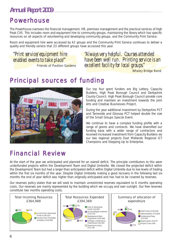# Powerhouse

The Powerhouse oversees the financial management, HR, premises management and the practical services of High Peak CVS. This includes room and equipment hire to community groups, maintaining the library which has specific resources on all aspects of volunteering and developing community groups, and the Community Print Service.

Room and equipment hire were accessed by 42 groups and the Community Print Service continues to deliver a quality and friendly service that 33 different groups have accessed this year.

*"Print service/equipment hire enabled events to take place'" Friends of Pavilion Gardens* *"Always very helpful. Courses attended have been well run. Printing service is an excellent facility for local groups."*

*Whaley Bridge Band*

# Principal sources of funding



Our top four grant funders are Big Lottery, Capacity Builders, High Peak Borough Council and Derbyshire County Council. High Peak Borough Council provide core funding and maintain an investment towards the joint Arts and Creative Businesses Project.

During the year additional investment by Derbyshire PCT and Tameside and Glossop PCT helped double the size of the Small Groups Special Event.

We continue to have a complex funding profile with a range of grants and contracts. We have diversified our funding base with a wider range of contractors and received increased investment from Capacity Builders via our two regional projects East Midlands Regional ICT Champions and Stepping Up to Enterprise.

# Financial Review

At the start of the year we anticipated and planned for an overall deficit. The principle contributors to this were underfunded projects within the Development Team and Digital Umbrella. We closed the projected deficit within the Development Team but had a larger than anticipated deficit within Digital Umbrella due to low levels of trading within the first six months of the year. Despite Digital Umbrella making a good recovery in the following last six months the end of year deficit was higher than originally anticipated and has had to be covered by reserves.

Our reserves policy states that we will seek to maintain unrestricted reserves equivalent to 6 months operating costs. Our reserves are mainly represented by the building which we occupy and own outright. Our free reserves constitute two months operating costs.

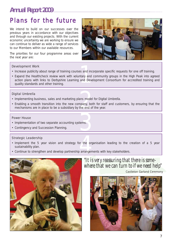# Plans for the future

We intend to build on our successes over the previous years in accordance with our objectives and through our existing projects. With the current economic uncertainty we are working to ensure we can continue to deliver as wide a range of services to our Members within our available resources.

The priorities for our four programme areas over the next year are:



#### Development Work

- Increase publicity about range of training courses and incorporate specific requests for one off training.
- es and inco<br>ntary and o<br>and Deve • Expand the Healthcheck review work with voluntary and community groups in the High Peak into agreed action plans with links to Derbyshire Learning and Development Consortium for accredited training and quality standards and other training.

#### Digital Umbrella

- Implementing business, sales and marketing plans model for Digital Umbrella.
- ans model<br>mpany, bot<br>the end of • Enabling a smooth transition into the new company, both for staff and customers, by ensuring that the mechanisms are in place to be a subsidiary by the end of the year.

#### Power House

- tems. • Implementation of two separate accounting systems.
- Contingency and Succession Planning.

#### Strategic Leadership

- or the org.<br>
arrangem • Implement the 5 year vision and strategy for the organisation leading to the creation of a 5 year sustainability plan.
- Continue to strengthen and develop partnership arrangements with key stakeholders.



*"It is very reassuring that there is somewhere that we can turn to if we need help" Castleton Garland Ceremony*